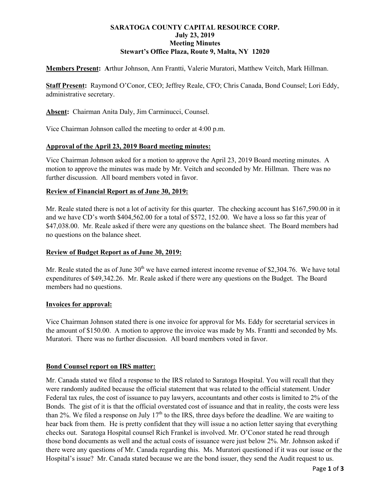# **SARATOGA COUNTY CAPITAL RESOURCE CORP. July 23, 2019 Meeting Minutes Stewart's Office Plaza, Route 9, Malta, NY 12020**

**Members Present: A**rthur Johnson, Ann Frantti, Valerie Muratori, Matthew Veitch, Mark Hillman.

**Staff Present:** Raymond O'Conor, CEO; Jeffrey Reale, CFO; Chris Canada, Bond Counsel; Lori Eddy, administrative secretary.

**Absent:** Chairman Anita Daly, Jim Carminucci, Counsel.

Vice Chairman Johnson called the meeting to order at 4:00 p.m.

### **Approval of the April 23, 2019 Board meeting minutes:**

Vice Chairman Johnson asked for a motion to approve the April 23, 2019 Board meeting minutes. A motion to approve the minutes was made by Mr. Veitch and seconded by Mr. Hillman. There was no further discussion. All board members voted in favor.

### **Review of Financial Report as of June 30, 2019:**

Mr. Reale stated there is not a lot of activity for this quarter. The checking account has \$167,590.00 in it and we have CD's worth \$404,562.00 for a total of \$572, 152.00. We have a loss so far this year of \$47,038.00. Mr. Reale asked if there were any questions on the balance sheet. The Board members had no questions on the balance sheet.

### **Review of Budget Report as of June 30, 2019:**

Mr. Reale stated the as of June  $30<sup>th</sup>$  we have earned interest income revenue of \$2,304.76. We have total expenditures of \$49,342.26. Mr. Reale asked if there were any questions on the Budget. The Board members had no questions.

#### **Invoices for approval:**

Vice Chairman Johnson stated there is one invoice for approval for Ms. Eddy for secretarial services in the amount of \$150.00. A motion to approve the invoice was made by Ms. Frantti and seconded by Ms. Muratori. There was no further discussion. All board members voted in favor.

#### **Bond Counsel report on IRS matter:**

Mr. Canada stated we filed a response to the IRS related to Saratoga Hospital. You will recall that they were randomly audited because the official statement that was related to the official statement. Under Federal tax rules, the cost of issuance to pay lawyers, accountants and other costs is limited to 2% of the Bonds. The gist of it is that the official overstated cost of issuance and that in reality, the costs were less than 2%. We filed a response on July  $17<sup>th</sup>$  to the IRS, three days before the deadline. We are waiting to hear back from them. He is pretty confident that they will issue a no action letter saying that everything checks out. Saratoga Hospital counsel Rich Frankel is involved. Mr. O'Conor stated he read through those bond documents as well and the actual costs of issuance were just below 2%. Mr. Johnson asked if there were any questions of Mr. Canada regarding this. Ms. Muratori questioned if it was our issue or the Hospital's issue? Mr. Canada stated because we are the bond issuer, they send the Audit request to us.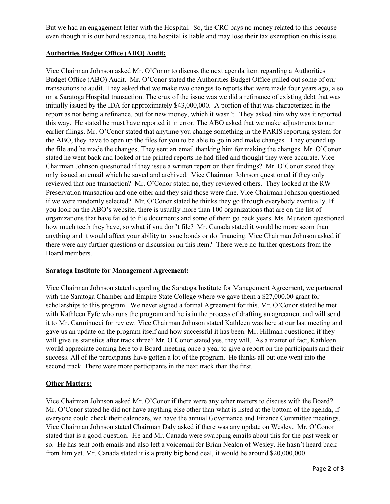But we had an engagement letter with the Hospital. So, the CRC pays no money related to this because even though it is our bond issuance, the hospital is liable and may lose their tax exemption on this issue.

# **Authorities Budget Office (ABO) Audit:**

Vice Chairman Johnson asked Mr. O'Conor to discuss the next agenda item regarding a Authorities Budget Office (ABO) Audit. Mr. O'Conor stated the Authorities Budget Office pulled out some of our transactions to audit. They asked that we make two changes to reports that were made four years ago, also on a Saratoga Hospital transaction. The crux of the issue was we did a refinance of existing debt that was initially issued by the IDA for approximately \$43,000,000. A portion of that was characterized in the report as not being a refinance, but for new money, which it wasn't. They asked him why was it reported this way. He stated he must have reported it in error. The ABO asked that we make adjustments to our earlier filings. Mr. O'Conor stated that anytime you change something in the PARIS reporting system for the ABO, they have to open up the files for you to be able to go in and make changes. They opened up the file and he made the changes. They sent an email thanking him for making the changes. Mr. O'Conor stated he went back and looked at the printed reports he had filed and thought they were accurate. Vice Chairman Johnson questioned if they issue a written report on their findings? Mr. O'Conor stated they only issued an email which he saved and archived. Vice Chairman Johnson questioned if they only reviewed that one transaction? Mr. O'Conor stated no, they reviewed others. They looked at the RW Preservation transaction and one other and they said those were fine. Vice Chairman Johnson questioned if we were randomly selected? Mr. O'Conor stated he thinks they go through everybody eventually. If you look on the ABO's website, there is usually more than 100 organizations that are on the list of organizations that have failed to file documents and some of them go back years. Ms. Muratori questioned how much teeth they have, so what if you don't file? Mr. Canada stated it would be more scorn than anything and it would affect your ability to issue bonds or do financing. Vice Chairman Johnson asked if there were any further questions or discussion on this item? There were no further questions from the Board members.

### **Saratoga Institute for Management Agreement:**

Vice Chairman Johnson stated regarding the Saratoga Institute for Management Agreement, we partnered with the Saratoga Chamber and Empire State College where we gave them a \$27,000.00 grant for scholarships to this program. We never signed a formal Agreement for this. Mr. O'Conor stated he met with Kathleen Fyfe who runs the program and he is in the process of drafting an agreement and will send it to Mr. Carminucci for review. Vice Chairman Johnson stated Kathleen was here at our last meeting and gave us an update on the program itself and how successful it has been. Mr. Hillman questioned if they will give us statistics after track three? Mr. O'Conor stated yes, they will. As a matter of fact, Kathleen would appreciate coming here to a Board meeting once a year to give a report on the participants and their success. All of the participants have gotten a lot of the program. He thinks all but one went into the second track. There were more participants in the next track than the first.

# **Other Matters:**

Vice Chairman Johnson asked Mr. O'Conor if there were any other matters to discuss with the Board? Mr. O'Conor stated he did not have anything else other than what is listed at the bottom of the agenda, if everyone could check their calendars, we have the annual Governance and Finance Committee meetings. Vice Chairman Johnson stated Chairman Daly asked if there was any update on Wesley. Mr. O'Conor stated that is a good question. He and Mr. Canada were swapping emails about this for the past week or so. He has sent both emails and also left a voicemail for Brian Nealon of Wesley. He hasn't heard back from him yet. Mr. Canada stated it is a pretty big bond deal, it would be around \$20,000,000.